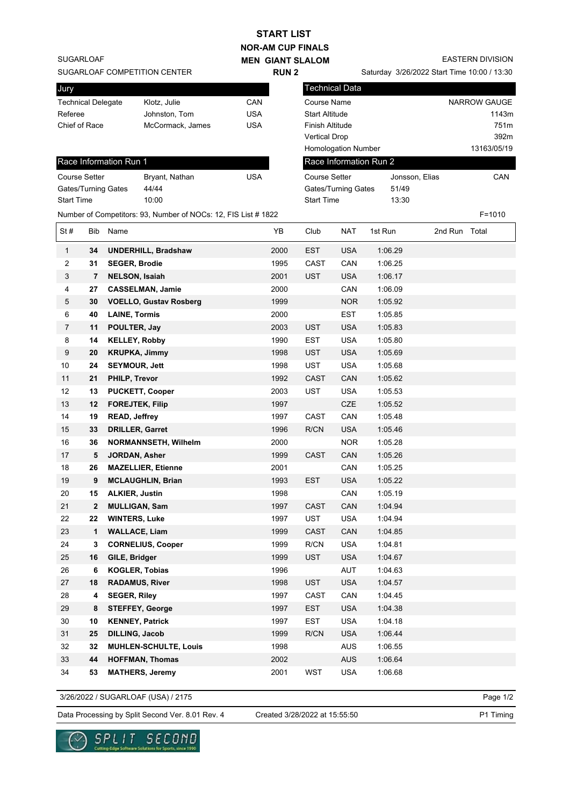| <b>START LIST</b>                                                            |                      |                        |                               |            |                        |                                             |                                    |                |               |                         |  |
|------------------------------------------------------------------------------|----------------------|------------------------|-------------------------------|------------|------------------------|---------------------------------------------|------------------------------------|----------------|---------------|-------------------------|--|
| <b>NOR-AM CUP FINALS</b>                                                     |                      |                        |                               |            |                        |                                             |                                    |                |               |                         |  |
| <b>SUGARLOAF</b><br><b>MEN GIANT SLALOM</b>                                  |                      |                        |                               |            |                        |                                             |                                    |                |               | <b>EASTERN DIVISION</b> |  |
| SUGARLOAF COMPETITION CENTER<br><b>RUN2</b>                                  |                      |                        |                               |            |                        | Saturday 3/26/2022 Start Time 10:00 / 13:30 |                                    |                |               |                         |  |
| Jury                                                                         |                      |                        |                               |            |                        |                                             | Technical Data                     |                |               |                         |  |
| CAN<br><b>Technical Delegate</b><br>Klotz, Julie                             |                      |                        |                               |            |                        |                                             | NARROW GAUGE<br><b>Course Name</b> |                |               |                         |  |
| Referee                                                                      |                      |                        | Johnston, Tom                 | <b>USA</b> |                        | <b>Start Altitude</b>                       |                                    |                |               | 1143m                   |  |
| Chief of Race                                                                |                      |                        | McCormack, James              | <b>USA</b> |                        | Finish Altitude                             |                                    |                |               | 751m                    |  |
|                                                                              |                      |                        |                               |            |                        | <b>Vertical Drop</b>                        |                                    |                |               | 392m                    |  |
|                                                                              |                      |                        |                               |            |                        |                                             | Homologation Number                | 13163/05/19    |               |                         |  |
|                                                                              |                      | Race Information Run 1 |                               |            | Race Information Run 2 |                                             |                                    |                |               |                         |  |
|                                                                              | <b>Course Setter</b> |                        | Bryant, Nathan                | <b>USA</b> |                        | <b>Course Setter</b>                        |                                    | Jonsson, Elias |               | CAN                     |  |
|                                                                              |                      | Gates/Turning Gates    | 44/44                         |            |                        | Gates/Turning Gates                         |                                    | 51/49          |               |                         |  |
| <b>Start Time</b>                                                            |                      |                        | 10:00                         |            |                        | <b>Start Time</b>                           |                                    | 13:30          |               |                         |  |
| Number of Competitors: 93, Number of NOCs: 12, FIS List # 1822<br>$F = 1010$ |                      |                        |                               |            |                        |                                             |                                    |                |               |                         |  |
| St#                                                                          | <b>Bib</b>           | Name                   |                               |            | YB                     | Club                                        | <b>NAT</b>                         | 1st Run        | 2nd Run Total |                         |  |
| $\mathbf{1}$                                                                 | 34                   |                        | <b>UNDERHILL, Bradshaw</b>    |            | 2000                   | <b>EST</b>                                  | <b>USA</b>                         | 1:06.29        |               |                         |  |
| 2                                                                            | 31                   | <b>SEGER, Brodie</b>   |                               |            | 1995                   | CAST                                        | CAN                                | 1:06.25        |               |                         |  |
| 3                                                                            | $\overline{7}$       | <b>NELSON, Isaiah</b>  |                               |            | 2001                   | <b>UST</b>                                  | <b>USA</b>                         | 1:06.17        |               |                         |  |
| 4                                                                            | 27                   |                        | <b>CASSELMAN, Jamie</b>       |            | 2000                   |                                             | CAN                                | 1:06.09        |               |                         |  |
| 5                                                                            | 30                   |                        | <b>VOELLO, Gustav Rosberg</b> |            | 1999                   |                                             | <b>NOR</b>                         | 1:05.92        |               |                         |  |
| 6                                                                            | 40                   | <b>LAINE, Tormis</b>   |                               |            | 2000                   |                                             | <b>EST</b>                         | 1:05.85        |               |                         |  |
| 7                                                                            | 11                   | POULTER, Jay           |                               |            | 2003                   | UST                                         | <b>USA</b>                         | 1:05.83        |               |                         |  |
| 8                                                                            | 14                   | <b>KELLEY, Robby</b>   |                               |            | 1990                   | <b>EST</b>                                  | <b>USA</b>                         | 1:05.80        |               |                         |  |
| 9                                                                            | 20                   | <b>KRUPKA, Jimmy</b>   |                               |            | 1998                   | <b>UST</b>                                  | <b>USA</b>                         | 1:05.69        |               |                         |  |
| 10                                                                           | 24                   | <b>SEYMOUR, Jett</b>   |                               |            | 1998                   | UST                                         | <b>USA</b>                         | 1:05.68        |               |                         |  |
| 11                                                                           | 21                   | <b>PHILP, Trevor</b>   |                               |            | 1992                   | <b>CAST</b>                                 | CAN                                | 1:05.62        |               |                         |  |
| 12                                                                           | 13                   | <b>PUCKETT, Cooper</b> |                               |            | 2003                   | UST                                         | <b>USA</b>                         | 1:05.53        |               |                         |  |
| 13                                                                           | 12                   | <b>FOREJTEK, Filip</b> |                               |            | 1997                   |                                             | <b>CZE</b>                         | 1:05.52        |               |                         |  |
| 14                                                                           | 19                   | <b>READ, Jeffrey</b>   |                               |            | 1997                   | CAST                                        | CAN                                | 1:05.48        |               |                         |  |
| 15                                                                           | 33                   | <b>DRILLER, Garret</b> |                               |            | 1996                   | R/CN                                        | <b>USA</b>                         | 1:05.46        |               |                         |  |
| 16                                                                           | 36                   |                        | NORMANNSETH, Wilhelm          |            | 2000                   |                                             | <b>NOR</b>                         | 1:05.28        |               |                         |  |
| 17                                                                           | 5                    | JORDAN, Asher          |                               |            | 1999                   | CAST                                        | CAN                                | 1:05.26        |               |                         |  |
| 18                                                                           | 26                   |                        | <b>MAZELLIER, Etienne</b>     |            | 2001                   |                                             | CAN                                | 1:05.25        |               |                         |  |
| 19                                                                           | $\pmb{9}$            |                        | <b>MCLAUGHLIN, Brian</b>      |            | 1993                   | <b>EST</b>                                  | <b>USA</b>                         | 1:05.22        |               |                         |  |
| 20                                                                           | 15                   | <b>ALKIER, Justin</b>  |                               |            | 1998                   |                                             | CAN                                | 1:05.19        |               |                         |  |
| 21                                                                           | $\boldsymbol{2}$     | <b>MULLIGAN, Sam</b>   |                               |            | 1997                   | CAST                                        | CAN                                | 1:04.94        |               |                         |  |
| 22                                                                           | 22                   | <b>WINTERS, Luke</b>   |                               |            | 1997                   | UST                                         | <b>USA</b>                         | 1:04.94        |               |                         |  |
| 23                                                                           | 1                    | <b>WALLACE, Liam</b>   |                               |            | 1999                   | CAST                                        | CAN                                | 1:04.85        |               |                         |  |
| 24                                                                           | 3                    |                        | <b>CORNELIUS, Cooper</b>      |            | 1999                   | R/CN                                        | <b>USA</b>                         | 1:04.81        |               |                         |  |
| 25                                                                           | 16                   | GILE, Bridger          |                               |            | 1999                   | <b>UST</b>                                  | <b>USA</b>                         | 1:04.67        |               |                         |  |
| 26                                                                           | 6                    | <b>KOGLER, Tobias</b>  |                               |            | 1996                   |                                             | AUT                                | 1:04.63        |               |                         |  |
| 27                                                                           | 18                   | <b>RADAMUS, River</b>  |                               |            | 1998                   | <b>UST</b>                                  | <b>USA</b>                         | 1:04.57        |               |                         |  |

3/26/2022 / SUGARLOAF (USA) / 2175

Page 1/2

Data Processing by Split Second Ver. 8.01 Rev. 4 Created 3/28/2022 at 15:55:50 P1 Timing

Created 3/28/2022 at 15:55:50

 **4 SEGER, Riley** 1997 CAST CAN 1:04.45 **8 STEFFEY, George** 1997 EST USA 1:04.38 **10 KENNEY, Patrick** 1997 EST USA 1:04.18 **25 DILLING, Jacob** 1999 R/CN USA 1:06.44 **32 MUHLEN-SCHULTE, Louis** 1998 AUS 1:06.55 **44 HOFFMAN, Thomas** 2002 AUS 1:06.64 **53 MATHERS, Jeremy** 2001 WST USA 1:06.68